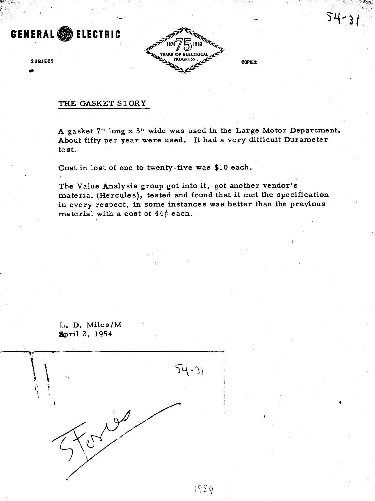# **GENERAL** @ **ELECTRIC**



 $54 - 3$ 

## THE GASKET STORY

A gasket **7"** long x **3"** wide was used in the Large Motor Department. About fifty per year were used. It had a very difficult Durameter test.

Cost in lost of one to twenty-five was \$10 eaoh.

The Value Analysis group got into it, got another vendor's material (Hercules), tested and found that it met the specification in every respect, in some instances was better than the previous material with a cost of **44f** each.

L. D. Miles/M **Spril 2, 1954** 

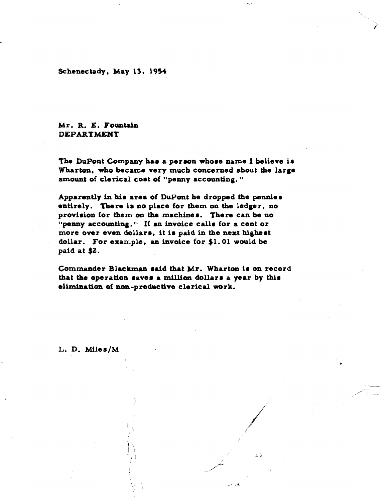Schenectady, May 13, 1954

# **Mr. R. E. Fountain DEPARTMENT**

The DuPont Company has a person whose name I believe is Wharton, who became very **much** concerned about the large amount of clerical cost of "penny accounting."

Apparantly in **him area** of DuPont he droppd the pennies entirely. There ia no place for them on **the** ledger, no provision for them **on the** machiaer. There **can be** no "penny accounting." If an invoice calls for a cent or more over even dollars, it is paid in the next highest dollar. For exan~ple, **am** invoice **for** \$1.01 **would be**  paid **at \$2.** 

**Csmfilandrsr Blrcltmul rdd** that Mr. Wharton ir **on** record that the operation saves a million dollars a year by this  $elimination of non-productive electrical work.$ 

ం తన విజే

L. D. Miles/M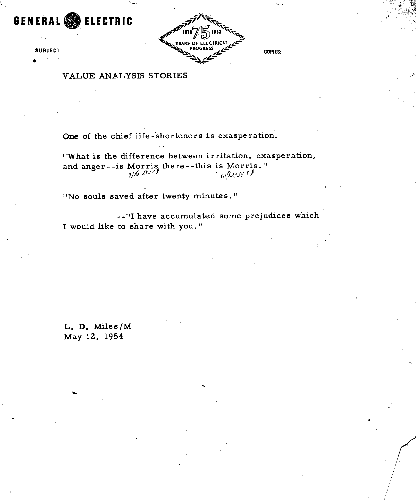**GENERAL** @ **ELECTRIC** 

-

**0 SUBJECT** 



**COPIES:** 

**VALUE ANALYSIS STORIES** 

**One of the chief life -'shorteners is exasperation.** 

**"What is the difference between irritation, exasperation, and anger** - **-is Morris there** - **-this is Morris. 'I**   $\frac{1}{2}$  we use  $\frac{1}{2}$   $\frac{1}{2}$   $\frac{1}{2}$   $\frac{1}{2}$   $\frac{1}{2}$   $\frac{1}{2}$   $\frac{1}{2}$   $\frac{1}{2}$   $\frac{1}{2}$   $\frac{1}{2}$   $\frac{1}{2}$   $\frac{1}{2}$   $\frac{1}{2}$   $\frac{1}{2}$   $\frac{1}{2}$   $\frac{1}{2}$   $\frac{1}{2}$   $\frac{1}{2}$   $\frac{1}{2}$   $\frac{1}{2}$   $\frac{$ 

**''No souls saved after twenty minutes.** "

**--"I have accumulated some prejudices which I would like to share with you.** 

**L. D. Miles/M May 12, 1954**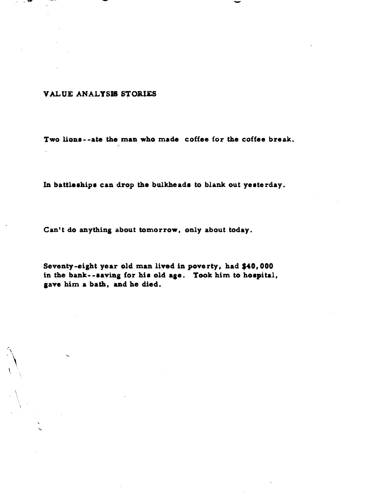### VALUE ANALYSIS STORIES

Two lions--ate the man who made coffee for the coffee break.

In battleships can drop the bulkheads to blank out yesterday.

Can't do anything about tomorrow, only about today.

Seventy-eight year old man lived in poverty, had \$40,000 in the bank--saving for his old age. Took him to hospital, gave him a bath, and he died.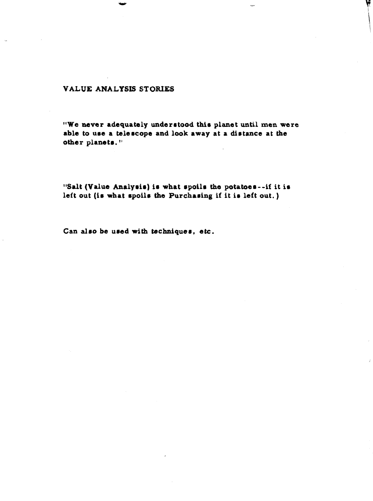## **VALUE ANALYSIS STORIES**

"We never adequately understood this planet until men were able to use a telescope and look away at a distance at the other planets."

"Salt (Value Analysis) is what spoils the potatoes--if it is left out (is what spoils the Purchasing if it is left out.)

Can also be used with techniques, etc.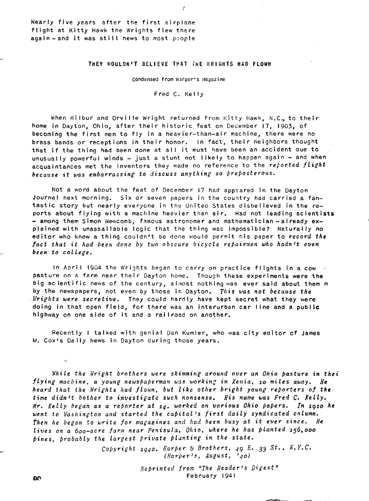Nearly five years after the first airplane flight at Kitty Hawk the Wrights flew there again-and it was still news to most pcople

#### THEY WOULDR'T BELIEVE THAT THE WRIGHTS HAD FLOWN

ý

#### Condensed from Harper's Magazine

Fred C. Kelly

When Wilbur and Orville Wright returned from Kitty Hawk, N.C., to their home in Dayton, Ohio, after their historic feat on December 17, 1903, of becoming the first men to fly in a heavier-than-air machine, there were no brass bands or receptions in their honor. In fact, their neighbors thought that if the thing had been done at all it must have been an accident due to unusual ly powerful winds - just a stunt not **l** ikely to happen again - and when acquaintances met the inventors they made no reference to the *reported flight* because it was embarrassing to discuss anything so preposterous.

Not a word about the feat of December 17 had appeared in the Dayton Journal next morning. Six or seven papers in the country had carried a fantastic story but nearly everyone in the United States disbelieved in the reports about flying with a machine heavier than air. Had not leading scientists - among them Simon Newcomb, famous astronomer and mathematician - already explained with unassailable logic that the thing was impossible? Naturally no editor who knew a thing couldn't be done would permit his paper to *record the fa.ct that it had been done by two obscure bicycle repairnien who hadn't even*  been to college.

In April 1904 the Wrights began to carry on practice flights in a cow. pasture on a farm near their Dayton home. Though these experiments were the big scientific news of the century, almost nothing was ever said about them m by the newspapers, not even by those in Dayton. *This was not because the Urifhts were secretive.* They could hard ly have kept secret what they were doing in that open field, for there was an interurban car line and **a** public highway on one side of it and a railroad on another.

Recently **i** talked with genial Dan Kumler, who was city editor of James **M.** Coxls Daily News in Dayton during those years.

*I?hile the Wright brothers were skimming around over an Ohio pasture in thei flying machine, a young newspaperman was working in Xenia, 10 miles away. He heard that the Wrights had flown, but like other bright young reporters of the time didn't bother to investigate such nonsense. His name was Fred C. Kelly. Mr. delly began as a reporter at* 14, *worked on various Ohio papers. In* 1910 *he*  went to Washington and started the capital's first daily syndicated column. Then he began to write for magazines and had been busy at it ever since. He *lives on a 600-acre fnrm near Penisula, Ohio, where he has Planted* 156,000 *pines, probably the largest brivate filanting in the state.* 

> - *Cobyright 19~0, Harper 6 Brothers,* 49 *E.* **33** *St..* **A'. Y.C.**  *(Hari)er'~, August, '401*

> > *Reprinted from "The Reader's Digest"* February 1941

æ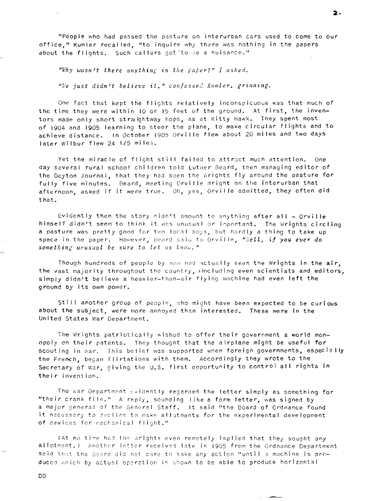"People who had passed the pasture on interurban cars used to come to our office," Kumler recalled, "to inquire why there was nothing in the papers about the flights. Such callers got 'to be a nuisance."

"Why wasn't there anything in the paper?" I asked.

 $E$ "We just didn't believe it," confessed *Kumler*, grinning.

One fact that kept the flights relatively inconspicuous was that much of the time they were within I0 or I5 feet of the ground. At first, the inventors made only short straightway hops, as at Kitty Hawk. They spent most of 1904 and 1905 learning to steer the plane, to make circular flights and to achieve distance. In October 1905 Orville flew about 20 miles and two days later Wilbur flew 24 1/5 mile3.

Yet the miracle of flight still failed to attract much attention. One day several rural school children told Luther Beard, then managing editor of the Dayton Journal, that they had seen the Wrights fly around the pasture for fully five minutes. Beard, meeting Orville wright on the interurban that afterncon, asked if it were true. Oh, yes, Orville admitted, they often did that.

Evidently then the story didn't amount to anything after all  $-$  Orville himself didn't seem to think it was unusual or important. The Wrights circling a pasture was pretty good for two local boys, but hardly a thing to take up<br>space in the paper. However, Beard said to Orville, "We**ll, if you ever do** space in the paper. However, Beard said to Orville, "Well, if you ever do something unusual be sure to let us know."

Though hundreds of people by now had actually seen the Wrights in the air, the vast majority throughout the country, including even scientists and editors, simply didn't believe a heavier-than-air flying machine had even left the ground by its own power.

Still another group of people, who might have been expected to be curious about the subject, were more annoyed than interested. These were in the United States War Department.

The Wrights patriotically wished to offer their government a world monopoly on their patents. They thought that the airplane might be useful for scouting in war. This belief was supported when foreign governments, especially<br>the French, began flirtations with them. Accordingly they wrote to the Secretary of War, giving the U.S. first opportunity to control all rights in their invention.

The war Department evidently regarded the letter simply as something for "their crank file." A reply, sounding like a form letter, was signed by a major general of the General Staff. It said "the Board of Ordnance found it necessary to decline to make allotments for the experimental development of devices for mechanical flight."

(At no time had the wrights even remotely implied that they sought any allotment.) Another letter received late in 1905 from the Ordnance Department said that the Board did not care to take any action "until a machine is produced which by actual operation is shown to be able to produce horizontal

**DD** 

-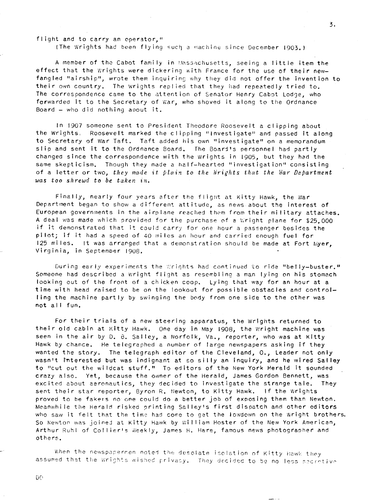flight and to carry an operator,"

(The Wrights had been flying such a machine since December 1903.)

3.

A member of the Cabot family in Massachusetts, seeing a little item the effect that the Wrights were dickering with France for the use of their newfangled "airship", wrote them inquiring why they did not offer the invention to their own country. The wrights replied that they had repeatedly tried to. The correspondence came to the attention of Senator Henry Cabot Lodge, who In the Correspondence came to the accept on or condition nemly capet Louge, mix Board  $-$  who did nothing apout it.

In 1907 someone sent to President Theodore Roosevelt a clipping <mark>a</mark>bout the Wrights. Roosevelt marked the clipping "Investigate" and passed it along to Secretary of War Taft. Taft added his own "investigate" on a memorandum slip and sent it to the Ordnance Board. The Board's personnel had partly changea since the correspondence with the Wrights in 1905, but they had the same skepticism. Though they made a half-hearted "investigation" consisting of a letter or two, *they made* **tt** *plnix to the iiridhts that the iJar Department*  was too shrewd to be taken in.

Finally, nearly four years after the flight at Kitty Hawk, the War Department began to show a **d** i'ferent attitude, as news about the interest of European governments in the airplane reached them from their military attaches. A deal was made which provided for the purchase of a Wright plane for \$25,000 if it demonstrated that it could carry for one hour a passenger besides the pilot; if it had a speed of 40 miles an hour and carried enough fuel for 125 miles. It was arranged that a demonstration should be made at Fort Myer, Virginia, in September 1908.

During early experiments the Wrights had continued to ride "belly-buster." Someone had described a Wright flight as resembling a man lying on his stomach looking out of the front of **3** chicken coop. Lyihg that way for an hour at a time with head raised to be on the lookout for possible obstacles and controll ing the machine part ly by swinqinq the body from one side to the other was not all fun.

For their trials of a new steering apparatus, the Wrights returned to their old cabin at Kitty Hawk. One day in May 1908, the Wright machine was seen in the air by D. B. Salley, a Norfolk, Va., reporter, who was at Kitty Hawk by chance. He telegraphed a number of large newspapers asking if they wanted the story. The telegreph editor of the Cleveland, O., Leader not only wasn't interested but was indignant at so silly an inquiry, and he wired Salley to "cut out the wildcat stuff." To editors of the New York Herald it sounded crazy also. Yet, because the owner of the Herald, James Gordon Bennett, was exc ited about eernnaut ics, they dec ided to Invest igate the strange tale. They sent their star reporter, Byron R. Newton, to Kitty Hawk. If the Wrights proved to be fakers no one could do a better job of exposing them than Newton. Meanwhile the Herald risked printing Salley's first dispatch and other editors who saw it felt that the time had come to get the lowdown on the Wright brothers. So Newton was joined at Kitty Hawk by William Hoster of the New York American, Arthur Ruhl of Collier's weekly, James H. Hare, famous news photographer and others.

When the newspapermen noted the desolate isolation of Kitty Hawk they assumed that the Wrights wished privacy. They decided to be no less secretive

DD.